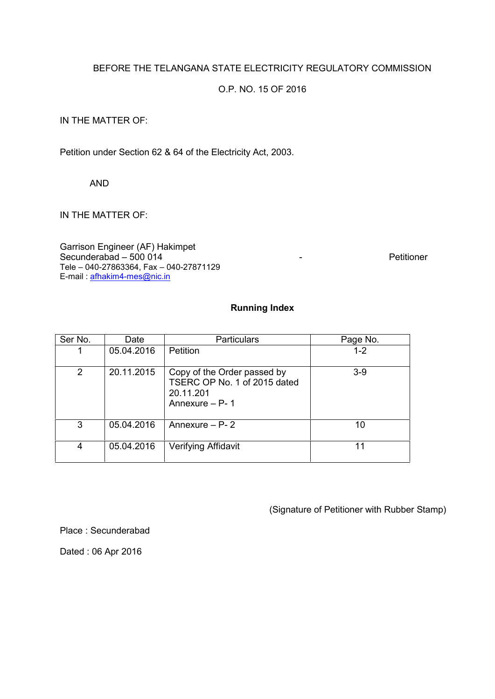## BEFORE THE TELANGANA STATE ELECTRICITY REGULATORY COMMISSION

## O.P. NO. 15 OF 2016

#### IN THE MATTER OF:

Petition under Section 62 & 64 of the Electricity Act, 2003.

AND

## IN THE MATTER OF:

Garrison Engineer (AF) Hakimpet Secunderabad – 500 014 and 100 km s and 100 km s and 100 km s and 100 km s and 100 km s and 100 km s and 100 km s and 100 km s and 100 km s and 100 km s and 100 km s and 100 km s and 100 km s and 100 km s and 100 km s and Tele – 040-27863364, Fax – 040-27871129 E-mail : afhakim4-mes@nic.in

# **Running Index**

| Ser No. | Date       | <b>Particulars</b>                                                                         | Page No. |  |
|---------|------------|--------------------------------------------------------------------------------------------|----------|--|
| 1       | 05.04.2016 | Petition                                                                                   | $1 - 2$  |  |
| 2       | 20.11.2015 | Copy of the Order passed by<br>TSERC OP No. 1 of 2015 dated<br>20.11.201<br>Annexure - P-1 | $3-9$    |  |
| 3       | 05.04.2016 | Annexure $- P - 2$                                                                         | 10       |  |
| 4       | 05.04.2016 | Verifying Affidavit                                                                        | 11       |  |

(Signature of Petitioner with Rubber Stamp)

Place : Secunderabad

Dated : 06 Apr 2016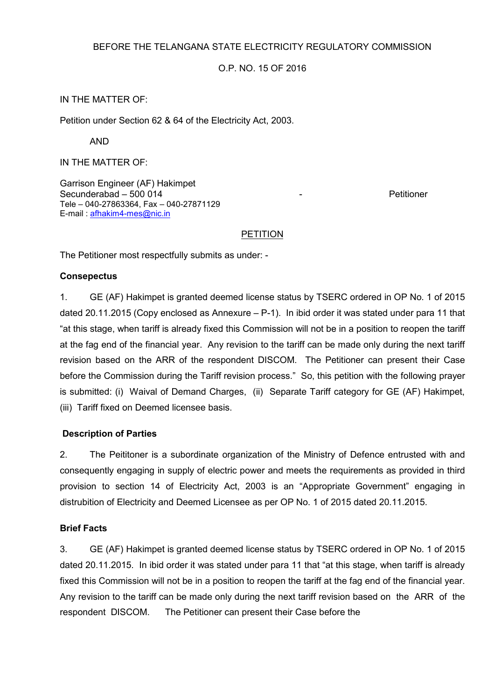## BEFORE THE TELANGANA STATE ELECTRICITY REGULATORY COMMISSION

## O.P. NO. 15 OF 2016

## IN THE MATTER OF:

Petition under Section 62 & 64 of the Electricity Act, 2003.

AND

IN THE MATTER OF:

Garrison Engineer (AF) Hakimpet Secunderabad – 500 014 and 1 and 1 and 1 and 1 and 1 and 1 and 1 and 1 and 1 and 1 and 1 and 1 and 1 and 1 and 1 and 1 and 1 and 1 and 1 and 1 and 1 and 1 and 1 and 1 and 1 and 1 and 1 and 1 and 1 and 1 and 1 and 1 and 1 a Tele – 040-27863364, Fax – 040-27871129 E-mail : afhakim4-mes@nic.in

#### PETITION

The Petitioner most respectfully submits as under: -

#### **Consepectus**

1. GE (AF) Hakimpet is granted deemed license status by TSERC ordered in OP No. 1 of 2015 dated 20.11.2015 (Copy enclosed as Annexure – P-1). In ibid order it was stated under para 11 that "at this stage, when tariff is already fixed this Commission will not be in a position to reopen the tariff at the fag end of the financial year. Any revision to the tariff can be made only during the next tariff revision based on the ARR of the respondent DISCOM. The Petitioner can present their Case before the Commission during the Tariff revision process." So, this petition with the following prayer is submitted: (i) Waival of Demand Charges, (ii) Separate Tariff category for GE (AF) Hakimpet, (iii) Tariff fixed on Deemed licensee basis.

#### **Description of Parties**

2. The Peititoner is a subordinate organization of the Ministry of Defence entrusted with and consequently engaging in supply of electric power and meets the requirements as provided in third provision to section 14 of Electricity Act, 2003 is an "Appropriate Government" engaging in distrubition of Electricity and Deemed Licensee as per OP No. 1 of 2015 dated 20.11.2015.

#### **Brief Facts**

3. GE (AF) Hakimpet is granted deemed license status by TSERC ordered in OP No. 1 of 2015 dated 20.11.2015. In ibid order it was stated under para 11 that "at this stage, when tariff is already fixed this Commission will not be in a position to reopen the tariff at the fag end of the financial year. Any revision to the tariff can be made only during the next tariff revision based on the ARR of the respondent DISCOM. The Petitioner can present their Case before the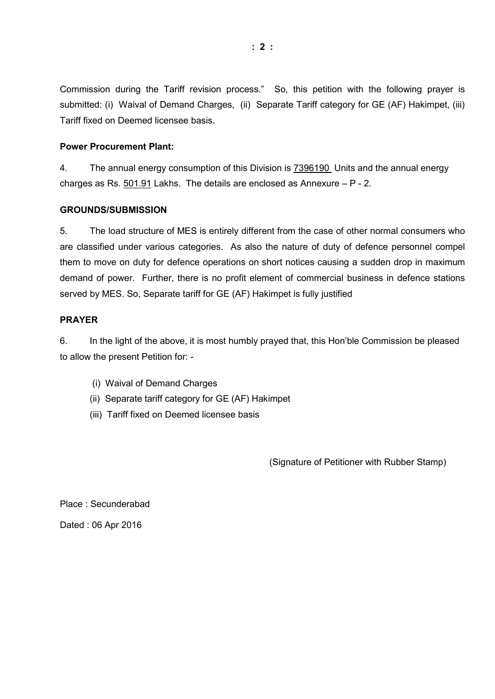Commission during the Tariff revision process." So, this petition with the following prayer is submitted: (i) Waival of Demand Charges, (ii) Separate Tariff category for GE (AF) Hakimpet, (iii) Tariff fixed on Deemed licensee basis.

#### **Power Procurement Plant:**

4. The annual energy consumption of this Division is 7396190 Units and the annual energy charges as Rs. 501.91 Lakhs. The details are enclosed as Annexure – P - 2.

#### **GROUNDS/SUBMISSION**

5. The load structure of MES is entirely different from the case of other normal consumers who are classified under various categories. As also the nature of duty of defence personnel compel them to move on duty for defence operations on short notices causing a sudden drop in maximum demand of power. Further, there is no profit element of commercial business in defence stations served by MES. So, Separate tariff for GE (AF) Hakimpet is fully justified

#### **PRAYER**

6. In the light of the above, it is most humbly prayed that, this Hon'ble Commission be pleased to allow the present Petition for: -

- (i) Waival of Demand Charges
- (ii) Separate tariff category for GE (AF) Hakimpet
- (iii) Tariff fixed on Deemed licensee basis

(Signature of Petitioner with Rubber Stamp)

Place : Secunderabad Dated : 06 Apr 2016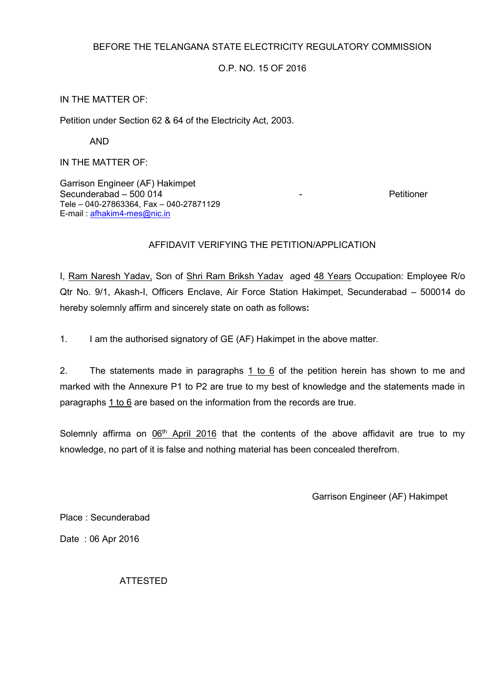## BEFORE THE TELANGANA STATE ELECTRICITY REGULATORY COMMISSION

O.P. NO. 15 OF 2016

## IN THE MATTER OF:

Petition under Section 62 & 64 of the Electricity Act, 2003.

AND

IN THE MATTER OF:

Garrison Engineer (AF) Hakimpet Secunderabad – 500 014 and 1 and 1 and 1 and 1 and 1 and 1 and 1 and 1 and 1 and 1 and 1 and 1 and 1 and 1 and 1 and 1 and 1 and 1 and 1 and 1 and 1 and 1 and 1 and 1 and 1 and 1 and 1 and 1 and 1 and 1 and 1 and 1 and 1 a Tele – 040-27863364, Fax – 040-27871129 E-mail : afhakim4-mes@nic.in

## AFFIDAVIT VERIFYING THE PETITION/APPLICATION

I, Ram Naresh Yadav, Son of Shri Ram Briksh Yadav aged 48 Years Occupation: Employee R/o Qtr No. 9/1, Akash-I, Officers Enclave, Air Force Station Hakimpet, Secunderabad – 500014 do hereby solemnly affirm and sincerely state on oath as follows**:**

1. I am the authorised signatory of GE (AF) Hakimpet in the above matter.

2. The statements made in paragraphs  $1$  to  $6$  of the petition herein has shown to me and marked with the Annexure P1 to P2 are true to my best of knowledge and the statements made in paragraphs 1 to 6 are based on the information from the records are true.

Solemnly affirma on 06<sup>th</sup> April 2016 that the contents of the above affidavit are true to my knowledge, no part of it is false and nothing material has been concealed therefrom.

Garrison Engineer (AF) Hakimpet

Place : Secunderabad

Date : 06 Apr 2016

ATTESTED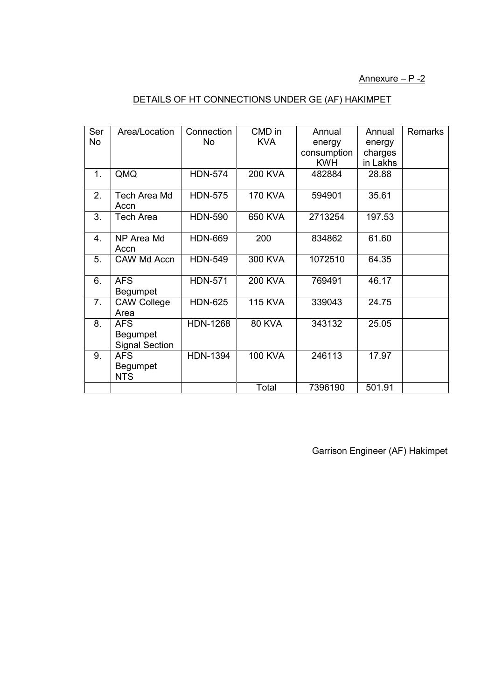Annexure – P -2

# DETAILS OF HT CONNECTIONS UNDER GE (AF) HAKIMPET

| Ser            | Area/Location                                   | Connection      | CMD in         | Annual      | Annual   | Remarks |
|----------------|-------------------------------------------------|-----------------|----------------|-------------|----------|---------|
| No             |                                                 | No              | <b>KVA</b>     | energy      | energy   |         |
|                |                                                 |                 |                | consumption | charges  |         |
|                |                                                 |                 |                | <b>KWH</b>  | in Lakhs |         |
| 1.             | QMQ                                             | <b>HDN-574</b>  | <b>200 KVA</b> | 482884      | 28.88    |         |
| 2.             | Tech Area Md<br>Accn                            | <b>HDN-575</b>  | <b>170 KVA</b> | 594901      | 35.61    |         |
| 3.             | Tech Area                                       | <b>HDN-590</b>  | 650 KVA        | 2713254     | 197.53   |         |
| 4.             | NP Area Md<br>Accn                              | <b>HDN-669</b>  | 200            | 834862      | 61.60    |         |
| 5.             | CAW Md Accn                                     | <b>HDN-549</b>  | 300 KVA        | 1072510     | 64.35    |         |
| 6.             | <b>AFS</b><br>Begumpet                          | <b>HDN-571</b>  | <b>200 KVA</b> | 769491      | 46.17    |         |
| 7 <sub>1</sub> | <b>CAW College</b><br>Area                      | <b>HDN-625</b>  | <b>115 KVA</b> | 339043      | 24.75    |         |
| 8.             | <b>AFS</b><br>Begumpet<br><b>Signal Section</b> | <b>HDN-1268</b> | <b>80 KVA</b>  | 343132      | 25.05    |         |
| 9.             | <b>AFS</b><br>Begumpet<br><b>NTS</b>            | <b>HDN-1394</b> | <b>100 KVA</b> | 246113      | 17.97    |         |
|                |                                                 |                 | Total          | 7396190     | 501.91   |         |

Garrison Engineer (AF) Hakimpet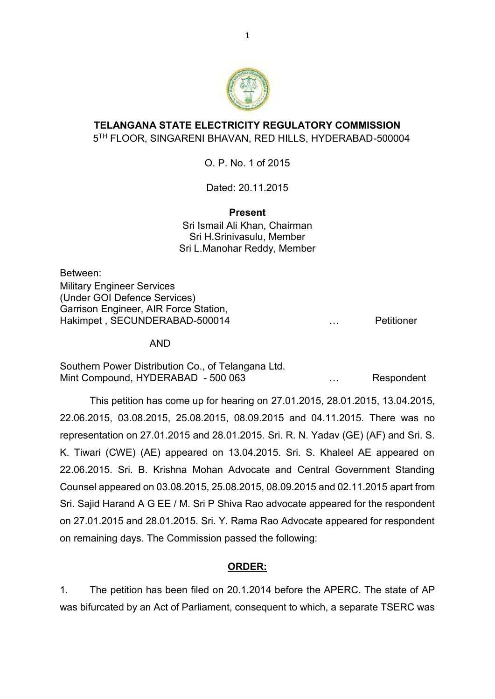

# **TELANGANA STATE ELECTRICITY REGULATORY COMMISSION** 5 TH FLOOR, SINGARENI BHAVAN, RED HILLS, HYDERABAD-500004

O. P. No. 1 of 2015

Dated: 20.11.2015

# **Present**

Sri Ismail Ali Khan, Chairman Sri H.Srinivasulu, Member Sri L.Manohar Reddy, Member

Between: Military Engineer Services (Under GOI Defence Services) Garrison Engineer, AIR Force Station, Hakimpet, SECUNDERABAD-500014 metal metal metal was also defined the petitioner

AND

Southern Power Distribution Co., of Telangana Ltd. Mint Compound, HYDERABAD - 500 063 ... Respondent

This petition has come up for hearing on 27.01.2015, 28.01.2015, 13.04.2015, 22.06.2015, 03.08.2015, 25.08.2015, 08.09.2015 and 04.11.2015. There was no representation on 27.01.2015 and 28.01.2015. Sri. R. N. Yadav (GE) (AF) and Sri. S. K. Tiwari (CWE) (AE) appeared on 13.04.2015. Sri. S. Khaleel AE appeared on 22.06.2015. Sri. B. Krishna Mohan Advocate and Central Government Standing Counsel appeared on 03.08.2015, 25.08.2015, 08.09.2015 and 02.11.2015 apart from Sri. Sajid Harand A G EE / M. Sri P Shiva Rao advocate appeared for the respondent on 27.01.2015 and 28.01.2015. Sri. Y. Rama Rao Advocate appeared for respondent on remaining days. The Commission passed the following:

# **ORDER:**

1. The petition has been filed on 20.1.2014 before the APERC. The state of AP was bifurcated by an Act of Parliament, consequent to which, a separate TSERC was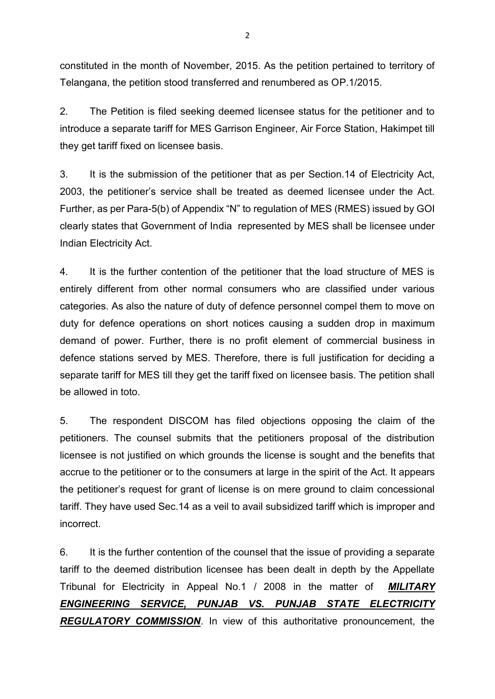constituted in the month of November, 2015. As the petition pertained to territory of Telangana, the petition stood transferred and renumbered as OP.1/2015.

2. The Petition is filed seeking deemed licensee status for the petitioner and to introduce a separate tariff for MES Garrison Engineer, Air Force Station, Hakimpet till they get tariff fixed on licensee basis.

3. It is the submission of the petitioner that as per Section.14 of Electricity Act, 2003, the petitioner's service shall be treated as deemed licensee under the Act. Further, as per Para-5(b) of Appendix "N" to regulation of MES (RMES) issued by GOI clearly states that Government of India represented by MES shall be licensee under Indian Electricity Act.

4. It is the further contention of the petitioner that the load structure of MES is entirely different from other normal consumers who are classified under various categories. As also the nature of duty of defence personnel compel them to move on duty for defence operations on short notices causing a sudden drop in maximum demand of power. Further, there is no profit element of commercial business in defence stations served by MES. Therefore, there is full justification for deciding a separate tariff for MES till they get the tariff fixed on licensee basis. The petition shall be allowed in toto.

5. The respondent DISCOM has filed objections opposing the claim of the petitioners. The counsel submits that the petitioners proposal of the distribution licensee is not justified on which grounds the license is sought and the benefits that accrue to the petitioner or to the consumers at large in the spirit of the Act. It appears the petitioner's request for grant of license is on mere ground to claim concessional tariff. They have used Sec.14 as a veil to avail subsidized tariff which is improper and incorrect.

6. It is the further contention of the counsel that the issue of providing a separate tariff to the deemed distribution licensee has been dealt in depth by the Appellate Tribunal for Electricity in Appeal No.1 / 2008 in the matter of *MILITARY ENGINEERING SERVICE, PUNJAB VS. PUNJAB STATE ELECTRICITY REGULATORY COMMISSION*. In view of this authoritative pronouncement, the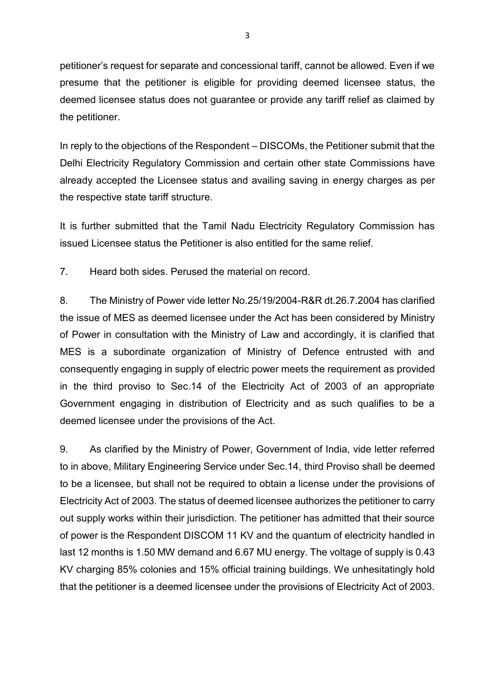petitioner's request for separate and concessional tariff, cannot be allowed. Even if we presume that the petitioner is eligible for providing deemed licensee status, the deemed licensee status does not guarantee or provide any tariff relief as claimed by the petitioner.

In reply to the objections of the Respondent – DISCOMs, the Petitioner submit that the Delhi Electricity Regulatory Commission and certain other state Commissions have already accepted the Licensee status and availing saving in energy charges as per the respective state tariff structure.

It is further submitted that the Tamil Nadu Electricity Regulatory Commission has issued Licensee status the Petitioner is also entitled for the same relief.

7. Heard both sides. Perused the material on record.

8. The Ministry of Power vide letter No.25/19/2004-R&R dt.26.7.2004 has clarified the issue of MES as deemed licensee under the Act has been considered by Ministry of Power in consultation with the Ministry of Law and accordingly, it is clarified that MES is a subordinate organization of Ministry of Defence entrusted with and consequently engaging in supply of electric power meets the requirement as provided in the third proviso to Sec.14 of the Electricity Act of 2003 of an appropriate Government engaging in distribution of Electricity and as such qualifies to be a deemed licensee under the provisions of the Act.

9. As clarified by the Ministry of Power, Government of India, vide letter referred to in above, Military Engineering Service under Sec.14, third Proviso shall be deemed to be a licensee, but shall not be required to obtain a license under the provisions of Electricity Act of 2003. The status of deemed licensee authorizes the petitioner to carry out supply works within their jurisdiction. The petitioner has admitted that their source of power is the Respondent DISCOM 11 KV and the quantum of electricity handled in last 12 months is 1.50 MW demand and 6.67 MU energy. The voltage of supply is 0.43 KV charging 85% colonies and 15% official training buildings. We unhesitatingly hold that the petitioner is a deemed licensee under the provisions of Electricity Act of 2003.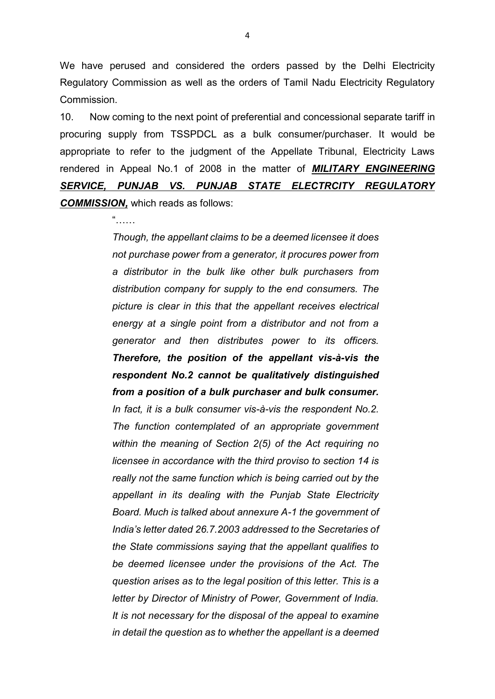We have perused and considered the orders passed by the Delhi Electricity Regulatory Commission as well as the orders of Tamil Nadu Electricity Regulatory Commission.

10. Now coming to the next point of preferential and concessional separate tariff in procuring supply from TSSPDCL as a bulk consumer/purchaser. It would be appropriate to refer to the judgment of the Appellate Tribunal, Electricity Laws rendered in Appeal No.1 of 2008 in the matter of *MILITARY ENGINEERING SERVICE, PUNJAB VS. PUNJAB STATE ELECTRCITY REGULATORY COMMISSION,* which reads as follows:

 $\alpha$ 

*Though, the appellant claims to be a deemed licensee it does not purchase power from a generator, it procures power from a distributor in the bulk like other bulk purchasers from distribution company for supply to the end consumers. The picture is clear in this that the appellant receives electrical energy at a single point from a distributor and not from a generator and then distributes power to its officers. Therefore, the position of the appellant vis-à-vis the respondent No.2 cannot be qualitatively distinguished from a position of a bulk purchaser and bulk consumer. In fact, it is a bulk consumer vis-à-vis the respondent No.2. The function contemplated of an appropriate government within the meaning of Section 2(5) of the Act requiring no licensee in accordance with the third proviso to section 14 is really not the same function which is being carried out by the appellant in its dealing with the Punjab State Electricity Board. Much is talked about annexure A-1 the government of India's letter dated 26.7.2003 addressed to the Secretaries of the State commissions saying that the appellant qualifies to be deemed licensee under the provisions of the Act. The question arises as to the legal position of this letter. This is a letter by Director of Ministry of Power, Government of India. It is not necessary for the disposal of the appeal to examine in detail the question as to whether the appellant is a deemed*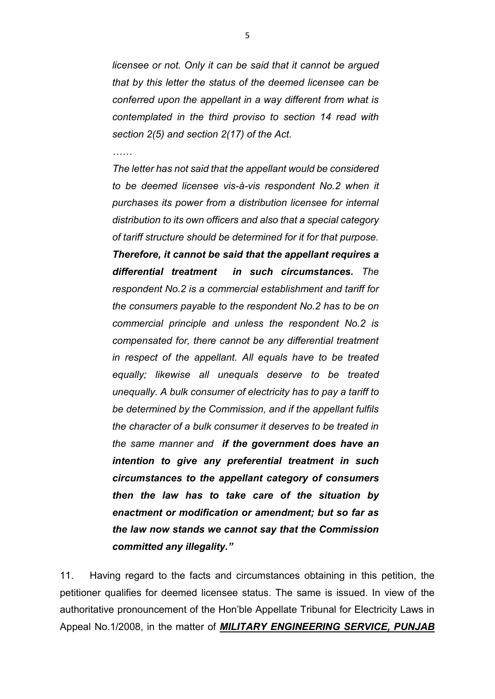*licensee or not. Only it can be said that it cannot be argued that by this letter the status of the deemed licensee can be conferred upon the appellant in a way different from what is contemplated in the third proviso to section 14 read with section 2(5) and section 2(17) of the Act.*

*……*

*The letter has not said that the appellant would be considered to be deemed licensee vis-à-vis respondent No.2 when it purchases its power from a distribution licensee for internal distribution to its own officers and also that a special category of tariff structure should be determined for it for that purpose. Therefore, it cannot be said that the appellant requires a differential treatment in such circumstances. The respondent No.2 is a commercial establishment and tariff for the consumers payable to the respondent No.2 has to be on commercial principle and unless the respondent No.2 is compensated for, there cannot be any differential treatment in respect of the appellant. All equals have to be treated equally; likewise all unequals deserve to be treated unequally. A bulk consumer of electricity has to pay a tariff to be determined by the Commission, and if the appellant fulfils the character of a bulk consumer it deserves to be treated in the same manner and if the government does have an intention to give any preferential treatment in such circumstances to the appellant category of consumers then the law has to take care of the situation by enactment or modification or amendment; but so far as the law now stands we cannot say that the Commission committed any illegality."*

11. Having regard to the facts and circumstances obtaining in this petition, the petitioner qualifies for deemed licensee status. The same is issued. In view of the authoritative pronouncement of the Hon'ble Appellate Tribunal for Electricity Laws in Appeal No.1/2008, in the matter of *MILITARY ENGINEERING SERVICE, PUNJAB*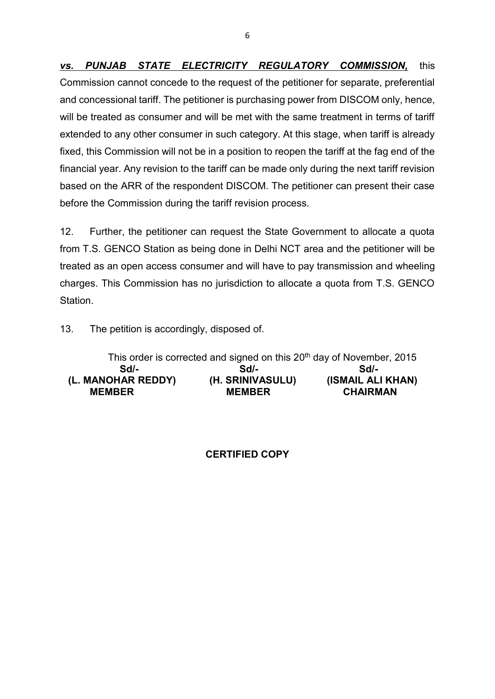*vs. PUNJAB STATE ELECTRICITY REGULATORY COMMISSION,* this Commission cannot concede to the request of the petitioner for separate, preferential and concessional tariff. The petitioner is purchasing power from DISCOM only, hence, will be treated as consumer and will be met with the same treatment in terms of tariff extended to any other consumer in such category. At this stage, when tariff is already fixed, this Commission will not be in a position to reopen the tariff at the fag end of the financial year. Any revision to the tariff can be made only during the next tariff revision based on the ARR of the respondent DISCOM. The petitioner can present their case before the Commission during the tariff revision process.

12. Further, the petitioner can request the State Government to allocate a quota from T.S. GENCO Station as being done in Delhi NCT area and the petitioner will be treated as an open access consumer and will have to pay transmission and wheeling charges. This Commission has no jurisdiction to allocate a quota from T.S. GENCO Station.

13. The petition is accordingly, disposed of.

| This order is corrected and signed on this 20 <sup>th</sup> day of November, 2015 |                  |                   |  |  |  |  |
|-----------------------------------------------------------------------------------|------------------|-------------------|--|--|--|--|
| Sdl-                                                                              | Sdl-             | Sd <sub>I</sub> - |  |  |  |  |
| (L. MANOHAR REDDY)                                                                | (H. SRINIVASULU) | (ISMAIL ALI KHAN) |  |  |  |  |
| <b>MEMBER</b>                                                                     | <b>MEMBER</b>    | <b>CHAIRMAN</b>   |  |  |  |  |

## **CERTIFIED COPY**